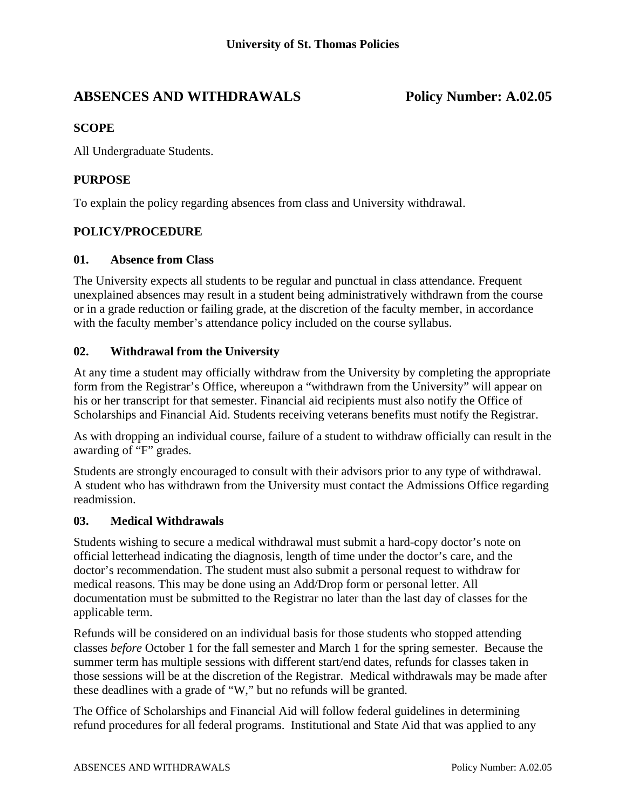# **ABSENCES AND WITHDRAWALS Policy Number: A.02.05**

## **SCOPE**

All Undergraduate Students.

# **PURPOSE**

To explain the policy regarding absences from class and University withdrawal.

# **POLICY/PROCEDURE**

#### **01. Absence from Class**

The University expects all students to be regular and punctual in class attendance. Frequent unexplained absences may result in a student being administratively withdrawn from the course or in a grade reduction or failing grade, at the discretion of the faculty member, in accordance with the faculty member's attendance policy included on the course syllabus.

## **02. Withdrawal from the University**

At any time a student may officially withdraw from the University by completing the appropriate form from the Registrar's Office, whereupon a "withdrawn from the University" will appear on his or her transcript for that semester. Financial aid recipients must also notify the Office of Scholarships and Financial Aid. Students receiving veterans benefits must notify the Registrar.

As with dropping an individual course, failure of a student to withdraw officially can result in the awarding of "F" grades.

Students are strongly encouraged to consult with their advisors prior to any type of withdrawal. A student who has withdrawn from the University must contact the Admissions Office regarding readmission.

## **03. Medical Withdrawals**

Students wishing to secure a medical withdrawal must submit a hard-copy doctor's note on official letterhead indicating the diagnosis, length of time under the doctor's care, and the doctor's recommendation. The student must also submit a personal request to withdraw for medical reasons. This may be done using an Add/Drop form or personal letter. All documentation must be submitted to the Registrar no later than the last day of classes for the applicable term.

Refunds will be considered on an individual basis for those students who stopped attending classes *before* October 1 for the fall semester and March 1 for the spring semester. Because the summer term has multiple sessions with different start/end dates, refunds for classes taken in those sessions will be at the discretion of the Registrar. Medical withdrawals may be made after these deadlines with a grade of "W," but no refunds will be granted.

The Office of Scholarships and Financial Aid will follow federal guidelines in determining refund procedures for all federal programs. Institutional and State Aid that was applied to any